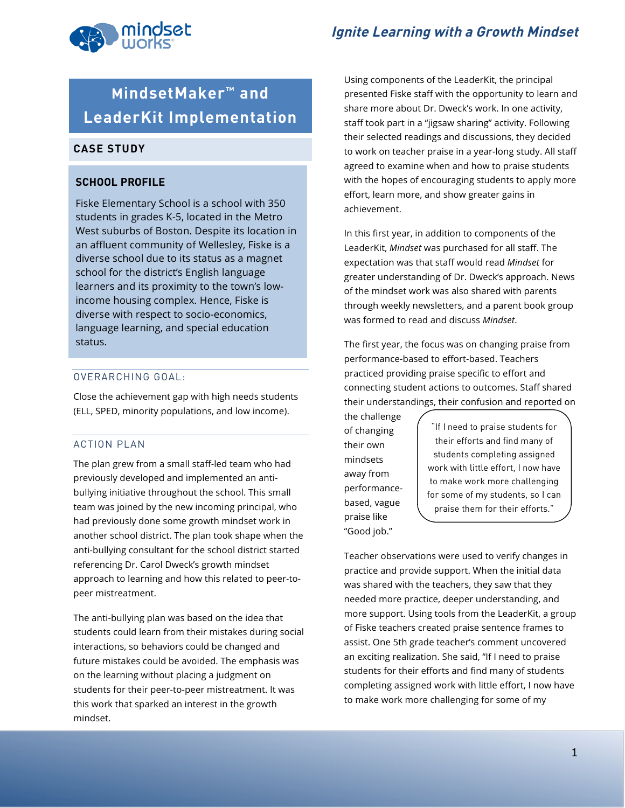

# **MindsetMaker™ and LeaderKit Implementation**

## **CASE STUDY**

### **SCHOOL PROFILE**

Fiske Elementary School is a school with 350 students in grades K-5, located in the Metro West suburbs of Boston. Despite its location in an affluent community of Wellesley, Fiske is a diverse school due to its status as a magnet school for the district's English language learners and its proximity to the town's lowincome housing complex. Hence, Fiske is diverse with respect to socio-economics, language learning, and special education status.

#### OVERARCHING GOAL:

Close the achievement gap with high needs students (ELL, SPED, minority populations, and low income).

#### ACTION PLAN

The plan grew from a small staff-led team who had previously developed and implemented an antibullying initiative throughout the school. This small team was joined by the new incoming principal, who had previously done some growth mindset work in another school district. The plan took shape when the anti-bullying consultant for the school district started referencing Dr. Carol Dweck's growth mindset approach to learning and how this related to peer-topeer mistreatment.

The anti-bullying plan was based on the idea that students could learn from their mistakes during social interactions, so behaviors could be changed and future mistakes could be avoided. The emphasis was on the learning without placing a judgment on students for their peer-to-peer mistreatment. It was this work that sparked an interest in the growth mindset.

**Ignite Learning with a Growth Mindset**

Using components of the LeaderKit, the principal presented Fiske staff with the opportunity to learn and share more about Dr. Dweck's work. In one activity, staff took part in a "jigsaw sharing" activity. Following their selected readings and discussions, they decided to work on teacher praise in a year-long study. All staff agreed to examine when and how to praise students with the hopes of encouraging students to apply more effort, learn more, and show greater gains in achievement.

In this first year, in addition to components of the LeaderKit, *Mindset* was purchased for all staff. The expectation was that staff would read *Mindset* for greater understanding of Dr. Dweck's approach. News of the mindset work was also shared with parents through weekly newsletters, and a parent book group was formed to read and discuss *Mindset*.

The first year, the focus was on changing praise from performance-based to effort-based. Teachers practiced providing praise specific to effort and connecting student actions to outcomes. Staff shared their understandings, their confusion and reported on

the challenge of changing their own mindsets away from performancebased, vague praise like "Good job."

"If I need to praise students for their efforts and find many of students completing assigned work with little effort, I now have to make work more challenging for some of my students, so I can praise them for their efforts."

Teacher observations were used to verify changes in practice and provide support. When the initial data was shared with the teachers, they saw that they needed more practice, deeper understanding, and more support. Using tools from the LeaderKit, a group of Fiske teachers created praise sentence frames to assist. One 5th grade teacher's comment uncovered an exciting realization. She said, "If I need to praise students for their efforts and find many of students completing assigned work with little effort, I now have to make work more challenging for some of my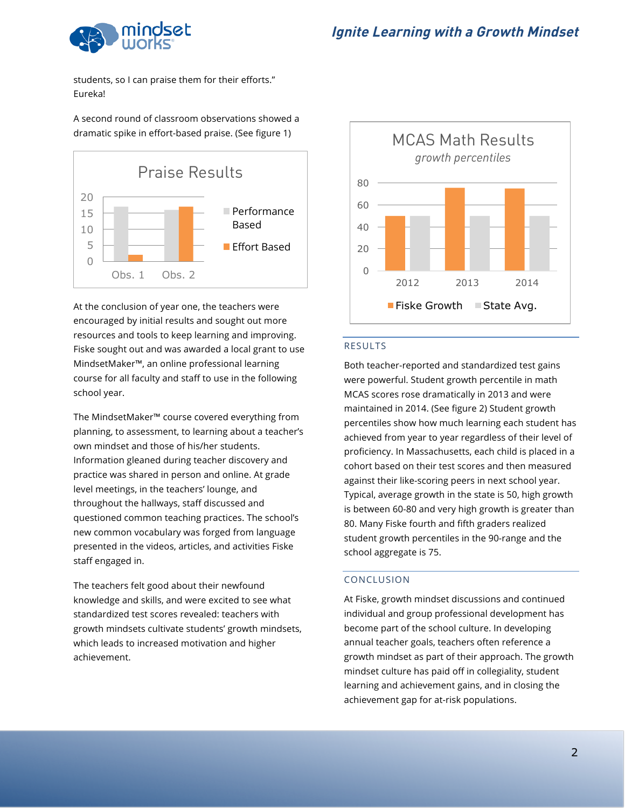

students, so I can praise them for their efforts." Eureka!

A second round of classroom observations showed a dramatic spike in effort-based praise. (See figure 1)



At the conclusion of year one, the teachers were encouraged by initial results and sought out more resources and tools to keep learning and improving. Fiske sought out and was awarded a local grant to use MindsetMaker™, an online professional learning course for all faculty and staff to use in the following school year.

The MindsetMaker™ course covered everything from planning, to assessment, to learning about a teacher's own mindset and those of his/her students. Information gleaned during teacher discovery and practice was shared in person and online. At grade level meetings, in the teachers' lounge, and throughout the hallways, staff discussed and questioned common teaching practices. The school's new common vocabulary was forged from language presented in the videos, articles, and activities Fiske staff engaged in.

The teachers felt good about their newfound knowledge and skills, and were excited to see what standardized test scores revealed: teachers with growth mindsets cultivate students' growth mindsets, which leads to increased motivation and higher achievement.



#### RESULTS

Both teacher-reported and standardized test gains were powerful. Student growth percentile in math MCAS scores rose dramatically in 2013 and were maintained in 2014. (See figure 2) Student growth percentiles show how much learning each student has achieved from year to year regardless of their level of proficiency. In Massachusetts, each child is placed in a cohort based on their test scores and then measured against their like-scoring peers in next school year. Typical, average growth in the state is 50, high growth is between 60-80 and very high growth is greater than 80. Many Fiske fourth and fifth graders realized student growth percentiles in the 90-range and the school aggregate is 75.

#### CONCLUSION

At Fiske, growth mindset discussions and continued individual and group professional development has become part of the school culture. In developing annual teacher goals, teachers often reference a growth mindset as part of their approach. The growth mindset culture has paid off in collegiality, student learning and achievement gains, and in closing the achievement gap for at-risk populations.